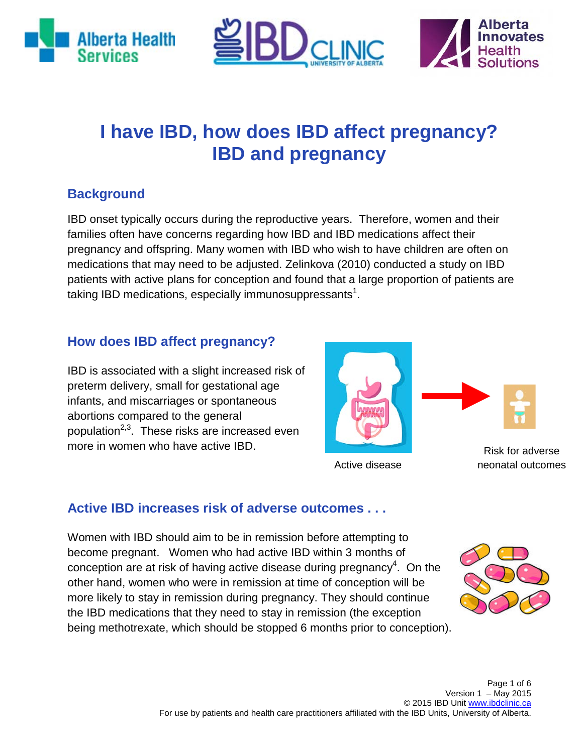





## **I have IBD, how does IBD affect pregnancy? IBD and pregnancy**

## **Background**

IBD onset typically occurs during the reproductive years. Therefore, women and their families often have concerns regarding how IBD and IBD medications affect their pregnancy and offspring. Many women with IBD who wish to have children are often on medications that may need to be adjusted. Zelinkova (2010) conducted a study on IBD patients with active plans for conception and found that a large proportion of patients are taking IBD medications, especially immunosuppressants $^{\text{1}}$ .

#### **How does IBD affect pregnancy?**

IBD is associated with a slight increased risk of preterm delivery, small for gestational age infants, and miscarriages or spontaneous abortions compared to the general population<sup>2,3</sup>. These risks are increased even more in women who have active IBD.



Active disease

Risk for adverse neonatal outcomes

## **Active IBD increases risk of adverse outcomes . . .**

Women with IBD should aim to be in remission before attempting to become pregnant. Women who had active IBD within 3 months of conception are at risk of having active disease during pregnancy<sup>4</sup>. On the other hand, women who were in remission at time of conception will be more likely to stay in remission during pregnancy. They should continue the IBD medications that they need to stay in remission (the exception being methotrexate, which should be stopped 6 months prior to conception).

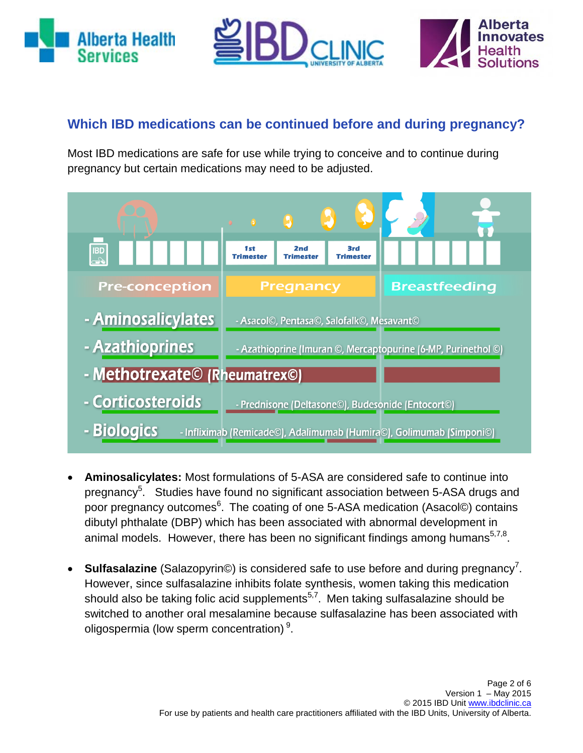





## **Which IBD medications can be continued before and during pregnancy?**

Most IBD medications are safe for use while trying to conceive and to continue during pregnancy but certain medications may need to be adjusted.



- **Aminosalicylates:** Most formulations of 5-ASA are considered safe to continue into pregnancy<sup>5</sup>. Studies have found no significant association between 5-ASA drugs and poor pregnancy outcomes<sup>6</sup>. The coating of one 5-ASA medication (Asacol©) contains dibutyl phthalate (DBP) which has been associated with abnormal development in animal models. However, there has been no significant findings among humans $5.7,8$ .
- Sulfasalazine (Salazopyrin©) is considered safe to use before and during pregnancy<sup>7</sup>. However, since sulfasalazine inhibits folate synthesis, women taking this medication should also be taking folic acid supplements<sup>5,7</sup>. Men taking sulfasalazine should be switched to another oral mesalamine because sulfasalazine has been associated with oligospermia (low sperm concentration)<sup>9</sup>.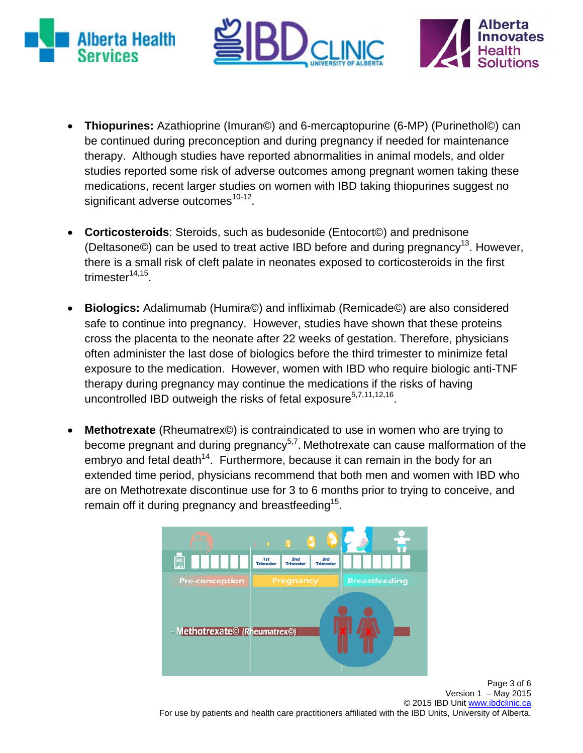





- **Thiopurines:** Azathioprine (Imuran©) and 6-mercaptopurine (6-MP) (Purinethol©) can be continued during preconception and during pregnancy if needed for maintenance therapy. Although studies have reported abnormalities in animal models, and older studies reported some risk of adverse outcomes among pregnant women taking these medications, recent larger studies on women with IBD taking thiopurines suggest no significant adverse outcomes<sup>10-12</sup>.
- **Corticosteroids**: Steroids, such as budesonide (Entocort©) and prednisone (Deltasone©) can be used to treat active IBD before and during pregnancy<sup>13</sup>. However, there is a small risk of cleft palate in neonates exposed to corticosteroids in the first trimester $14,15$ .
- **Biologics:** Adalimumab (Humira©) and infliximab (Remicade©) are also considered safe to continue into pregnancy. However, studies have shown that these proteins cross the placenta to the neonate after 22 weeks of gestation. Therefore, physicians often administer the last dose of biologics before the third trimester to minimize fetal exposure to the medication. However, women with IBD who require biologic anti-TNF therapy during pregnancy may continue the medications if the risks of having uncontrolled IBD outweigh the risks of fetal exposure<sup>5,7,11,12,16</sup>.
- **Methotrexate** (Rheumatrex©) is contraindicated to use in women who are trying to become pregnant and during pregnancy<sup>5,7</sup>. Methotrexate can cause malformation of the embryo and fetal death<sup>14</sup>. Furthermore, because it can remain in the body for an extended time period, physicians recommend that both men and women with IBD who are on Methotrexate discontinue use for 3 to 6 months prior to trying to conceive, and remain off it during pregnancy and breastfeeding<sup>15</sup>.



Page 3 of 6 Version  $1 -$  May 2015 © 2015 IBD Unit www.ibdclinic.ca For use by patients and health care practitioners affiliated with the IBD Units, University of Alberta.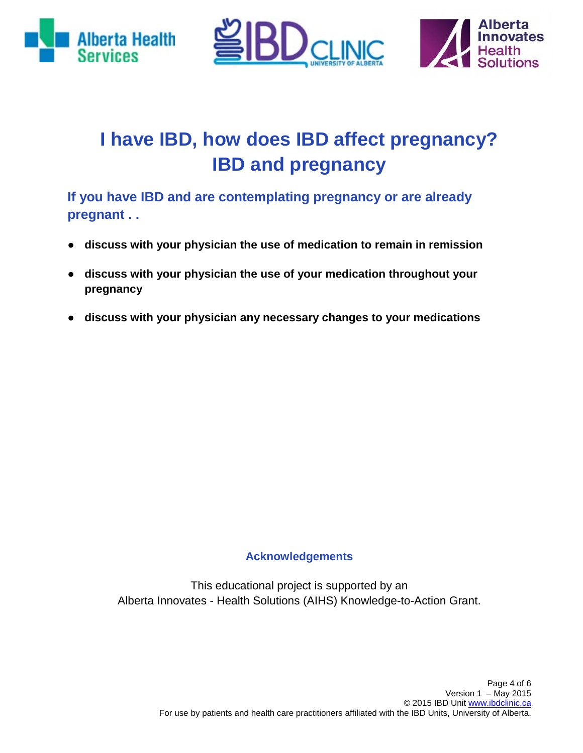





# **I have IBD, how does IBD affect pregnancy? IBD and pregnancy**

**If you have IBD and are contemplating pregnancy or are already pregnant . .**

- **discuss with your physician the use of medication to remain in remission**
- **discuss with your physician the use of your medication throughout your pregnancy**
- **discuss with your physician any necessary changes to your medications**

#### **Acknowledgements**

This educational project is supported by an Alberta Innovates - Health Solutions (AIHS) Knowledge-to-Action Grant.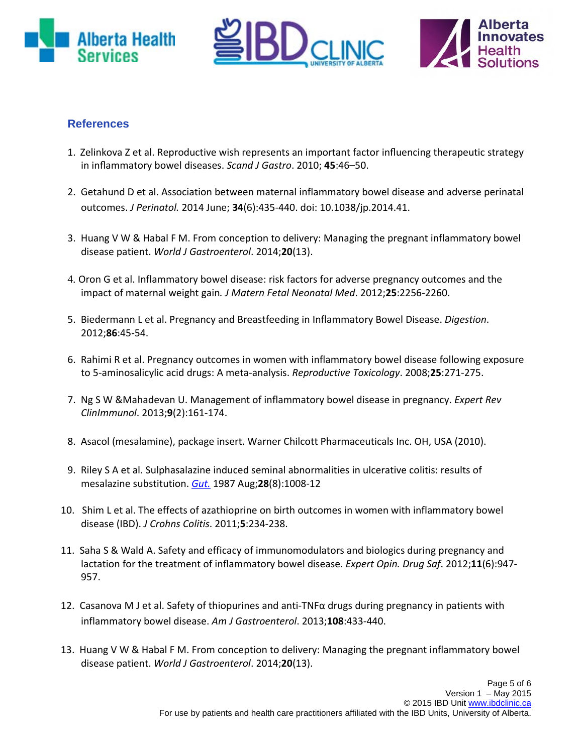





#### **References**

- 1. Zelinkova Z et al. Reproductive wish represents an important factor influencing therapeutic strategy in inflammatory bowel diseases. *Scand J Gastro*. 2010; **45**:46–50.
- 2. Getahund D et al. Association between maternal inflammatory bowel disease and adverse perinatal outcomes. *J Perinatol.* 2014 June; **34**(6):435-440. doi: 10.1038/jp.2014.41.
- 3. Huang V W & Habal F M. From conception to delivery: Managing the pregnant inflammatory bowel disease patient. *World J Gastroenterol*. 2014;**20**(13).
- 4. Oron G et al. Inflammatory bowel disease: risk factors for adverse pregnancy outcomes and the impact of maternal weight gain*. J Matern Fetal Neonatal Med*. 2012;**25**:2256-2260.
- 5. Biedermann L et al. Pregnancy and Breastfeeding in Inflammatory Bowel Disease. *Digestion*. 2012;**86**:45-54.
- 6. Rahimi R et al. Pregnancy outcomes in women with inflammatory bowel disease following exposure to 5-aminosalicylic acid drugs: A meta-analysis. *Reproductive Toxicology*. 2008;**25**:271-275.
- 7. Ng S W &Mahadevan U. Management of inflammatory bowel disease in pregnancy. *Expert Rev ClinImmunol*. 2013;**9**(2):161-174.
- 8. Asacol (mesalamine), package insert. Warner Chilcott Pharmaceuticals Inc. OH, USA (2010).
- 9. Riley S A et al. Sulphasalazine induced seminal abnormalities in ulcerative colitis: results of mesalazine substitution. *[Gut.](http://www-ncbi-nlm-nih-gov.login.ezproxy.library.ualberta.ca/pubmed/2889648)* 1987 Aug;**28**(8):1008-12
- 10. Shim L et al. The effects of azathioprine on birth outcomes in women with inflammatory bowel disease (IBD). *J Crohns Colitis*. 2011;**5**:234-238.
- 11. Saha S & Wald A. Safety and efficacy of immunomodulators and biologics during pregnancy and lactation for the treatment of inflammatory bowel disease. *Expert Opin. Drug Saf*. 2012;**11**(6):947- 957.
- 12. Casanova M J et al. Safety of thiopurines and anti-TNF $\alpha$  drugs during pregnancy in patients with inflammatory bowel disease. *Am J Gastroenterol*. 2013;**108**:433-440.
- 13. Huang V W & Habal F M. From conception to delivery: Managing the pregnant inflammatory bowel disease patient. *World J Gastroenterol*. 2014;**20**(13).